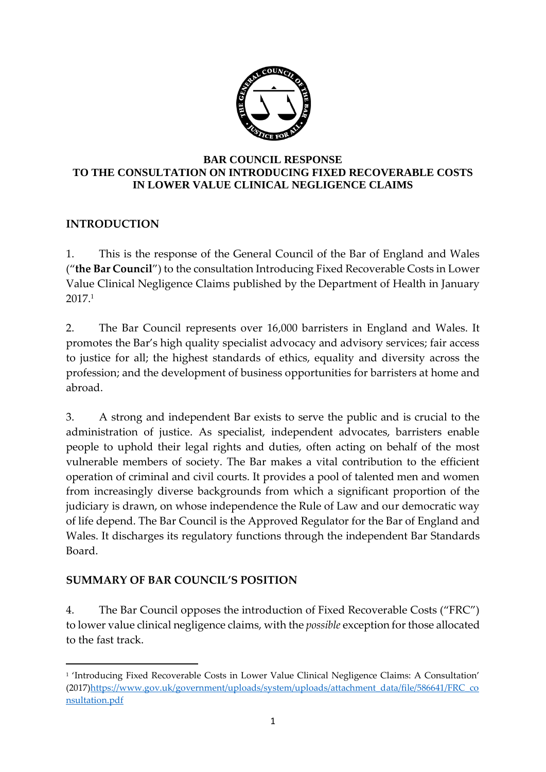

#### **BAR COUNCIL RESPONSE TO THE CONSULTATION ON INTRODUCING FIXED RECOVERABLE COSTS IN LOWER VALUE CLINICAL NEGLIGENCE CLAIMS**

# **INTRODUCTION**

1. This is the response of the General Council of the Bar of England and Wales ("**the Bar Council**") to the consultation Introducing Fixed Recoverable Costs in Lower Value Clinical Negligence Claims published by the Department of Health in January 2017.<sup>1</sup>

2. The Bar Council represents over 16,000 barristers in England and Wales. It promotes the Bar's high quality specialist advocacy and advisory services; fair access to justice for all; the highest standards of ethics, equality and diversity across the profession; and the development of business opportunities for barristers at home and abroad.

3. A strong and independent Bar exists to serve the public and is crucial to the administration of justice. As specialist, independent advocates, barristers enable people to uphold their legal rights and duties, often acting on behalf of the most vulnerable members of society. The Bar makes a vital contribution to the efficient operation of criminal and civil courts. It provides a pool of talented men and women from increasingly diverse backgrounds from which a significant proportion of the judiciary is drawn, on whose independence the Rule of Law and our democratic way of life depend. The Bar Council is the Approved Regulator for the Bar of England and Wales. It discharges its regulatory functions through the independent Bar Standards Board.

# **SUMMARY OF BAR COUNCIL'S POSITION**

 $\overline{a}$ 

4. The Bar Council opposes the introduction of Fixed Recoverable Costs ("FRC") to lower value clinical negligence claims, with the *possible* exception for those allocated to the fast track.

<sup>1</sup> 'Introducing Fixed Recoverable Costs in Lower Value Clinical Negligence Claims: A Consultation' (2017[\)https://www.gov.uk/government/uploads/system/uploads/attachment\\_data/file/586641/FRC\\_co](https://www.gov.uk/government/uploads/system/uploads/attachment_data/file/586641/FRC_consultation.pdf) [nsultation.pdf](https://www.gov.uk/government/uploads/system/uploads/attachment_data/file/586641/FRC_consultation.pdf)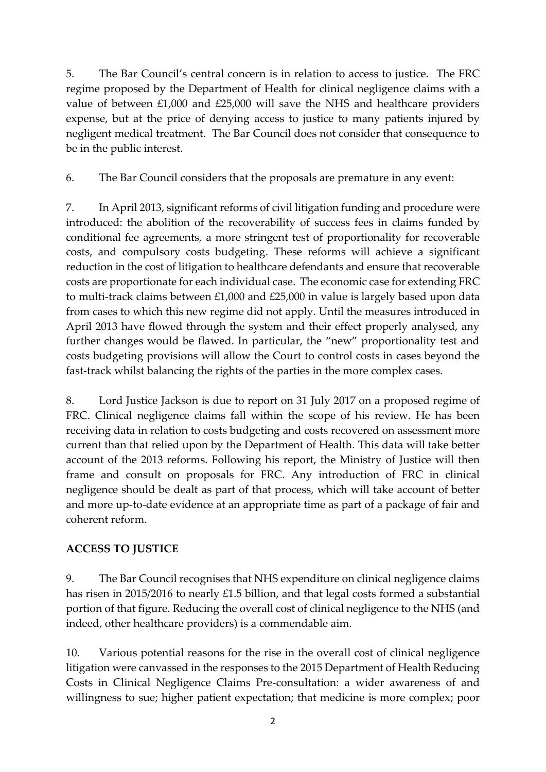5. The Bar Council's central concern is in relation to access to justice. The FRC regime proposed by the Department of Health for clinical negligence claims with a value of between £1,000 and £25,000 will save the NHS and healthcare providers expense, but at the price of denying access to justice to many patients injured by negligent medical treatment. The Bar Council does not consider that consequence to be in the public interest.

6. The Bar Council considers that the proposals are premature in any event:

7. In April 2013, significant reforms of civil litigation funding and procedure were introduced: the abolition of the recoverability of success fees in claims funded by conditional fee agreements, a more stringent test of proportionality for recoverable costs, and compulsory costs budgeting. These reforms will achieve a significant reduction in the cost of litigation to healthcare defendants and ensure that recoverable costs are proportionate for each individual case. The economic case for extending FRC to multi-track claims between £1,000 and £25,000 in value is largely based upon data from cases to which this new regime did not apply. Until the measures introduced in April 2013 have flowed through the system and their effect properly analysed, any further changes would be flawed. In particular, the "new" proportionality test and costs budgeting provisions will allow the Court to control costs in cases beyond the fast-track whilst balancing the rights of the parties in the more complex cases.

8. Lord Justice Jackson is due to report on 31 July 2017 on a proposed regime of FRC. Clinical negligence claims fall within the scope of his review. He has been receiving data in relation to costs budgeting and costs recovered on assessment more current than that relied upon by the Department of Health. This data will take better account of the 2013 reforms. Following his report, the Ministry of Justice will then frame and consult on proposals for FRC. Any introduction of FRC in clinical negligence should be dealt as part of that process, which will take account of better and more up-to-date evidence at an appropriate time as part of a package of fair and coherent reform.

# **ACCESS TO JUSTICE**

9. The Bar Council recognises that NHS expenditure on clinical negligence claims has risen in 2015/2016 to nearly £1.5 billion, and that legal costs formed a substantial portion of that figure. Reducing the overall cost of clinical negligence to the NHS (and indeed, other healthcare providers) is a commendable aim.

10. Various potential reasons for the rise in the overall cost of clinical negligence litigation were canvassed in the responses to the 2015 Department of Health Reducing Costs in Clinical Negligence Claims Pre-consultation: a wider awareness of and willingness to sue; higher patient expectation; that medicine is more complex; poor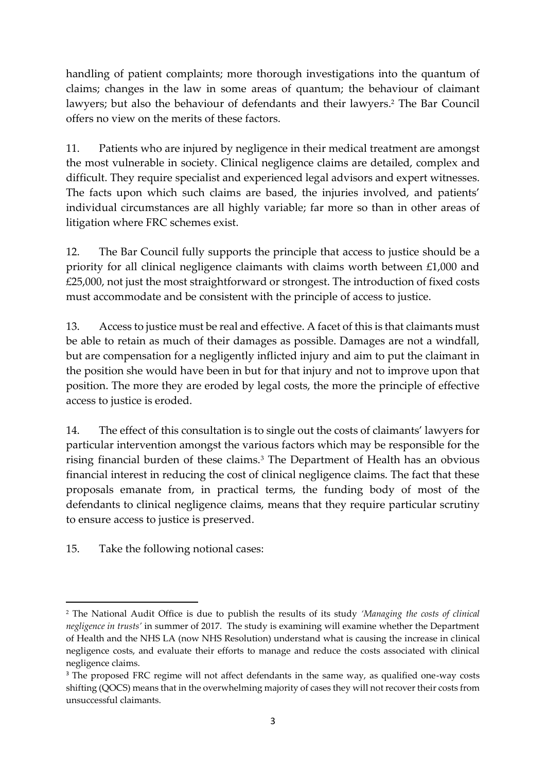handling of patient complaints; more thorough investigations into the quantum of claims; changes in the law in some areas of quantum; the behaviour of claimant lawyers; but also the behaviour of defendants and their lawyers. <sup>2</sup> The Bar Council offers no view on the merits of these factors.

11. Patients who are injured by negligence in their medical treatment are amongst the most vulnerable in society. Clinical negligence claims are detailed, complex and difficult. They require specialist and experienced legal advisors and expert witnesses. The facts upon which such claims are based, the injuries involved, and patients' individual circumstances are all highly variable; far more so than in other areas of litigation where FRC schemes exist.

12. The Bar Council fully supports the principle that access to justice should be a priority for all clinical negligence claimants with claims worth between £1,000 and £25,000, not just the most straightforward or strongest. The introduction of fixed costs must accommodate and be consistent with the principle of access to justice.

13. Access to justice must be real and effective. A facet of this is that claimants must be able to retain as much of their damages as possible. Damages are not a windfall, but are compensation for a negligently inflicted injury and aim to put the claimant in the position she would have been in but for that injury and not to improve upon that position. The more they are eroded by legal costs, the more the principle of effective access to justice is eroded.

14. The effect of this consultation is to single out the costs of claimants' lawyers for particular intervention amongst the various factors which may be responsible for the rising financial burden of these claims.<sup>3</sup> The Department of Health has an obvious financial interest in reducing the cost of clinical negligence claims. The fact that these proposals emanate from, in practical terms, the funding body of most of the defendants to clinical negligence claims, means that they require particular scrutiny to ensure access to justice is preserved.

15. Take the following notional cases:

**.** 

<sup>2</sup> The National Audit Office is due to publish the results of its study *'Managing the costs of clinical negligence in trusts'* in summer of 2017. The study is examining will examine whether the Department of Health and the NHS LA (now NHS Resolution) understand what is causing the increase in clinical negligence costs, and evaluate their efforts to manage and reduce the costs associated with clinical negligence claims.

<sup>&</sup>lt;sup>3</sup> The proposed FRC regime will not affect defendants in the same way, as qualified one-way costs shifting (QOCS) means that in the overwhelming majority of cases they will not recover their costs from unsuccessful claimants.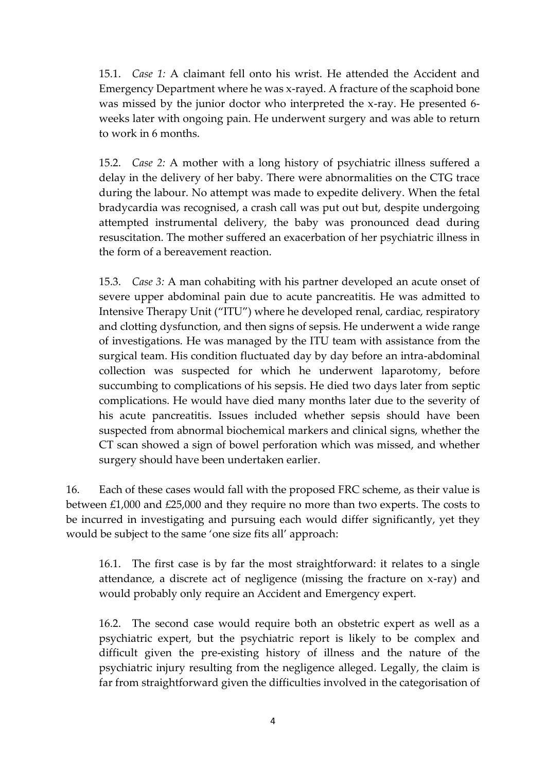15.1. *Case 1:* A claimant fell onto his wrist. He attended the Accident and Emergency Department where he was x-rayed. A fracture of the scaphoid bone was missed by the junior doctor who interpreted the x-ray. He presented 6 weeks later with ongoing pain. He underwent surgery and was able to return to work in 6 months.

15.2. *Case 2:* A mother with a long history of psychiatric illness suffered a delay in the delivery of her baby. There were abnormalities on the CTG trace during the labour. No attempt was made to expedite delivery. When the fetal bradycardia was recognised, a crash call was put out but, despite undergoing attempted instrumental delivery, the baby was pronounced dead during resuscitation. The mother suffered an exacerbation of her psychiatric illness in the form of a bereavement reaction.

15.3. *Case 3:* A man cohabiting with his partner developed an acute onset of severe upper abdominal pain due to acute pancreatitis. He was admitted to Intensive Therapy Unit ("ITU") where he developed renal, cardiac, respiratory and clotting dysfunction, and then signs of sepsis. He underwent a wide range of investigations. He was managed by the ITU team with assistance from the surgical team. His condition fluctuated day by day before an intra-abdominal collection was suspected for which he underwent laparotomy, before succumbing to complications of his sepsis. He died two days later from septic complications. He would have died many months later due to the severity of his acute pancreatitis. Issues included whether sepsis should have been suspected from abnormal biochemical markers and clinical signs, whether the CT scan showed a sign of bowel perforation which was missed, and whether surgery should have been undertaken earlier.

16. Each of these cases would fall with the proposed FRC scheme, as their value is between £1,000 and £25,000 and they require no more than two experts. The costs to be incurred in investigating and pursuing each would differ significantly, yet they would be subject to the same 'one size fits all' approach:

16.1. The first case is by far the most straightforward: it relates to a single attendance, a discrete act of negligence (missing the fracture on x-ray) and would probably only require an Accident and Emergency expert.

16.2. The second case would require both an obstetric expert as well as a psychiatric expert, but the psychiatric report is likely to be complex and difficult given the pre-existing history of illness and the nature of the psychiatric injury resulting from the negligence alleged. Legally, the claim is far from straightforward given the difficulties involved in the categorisation of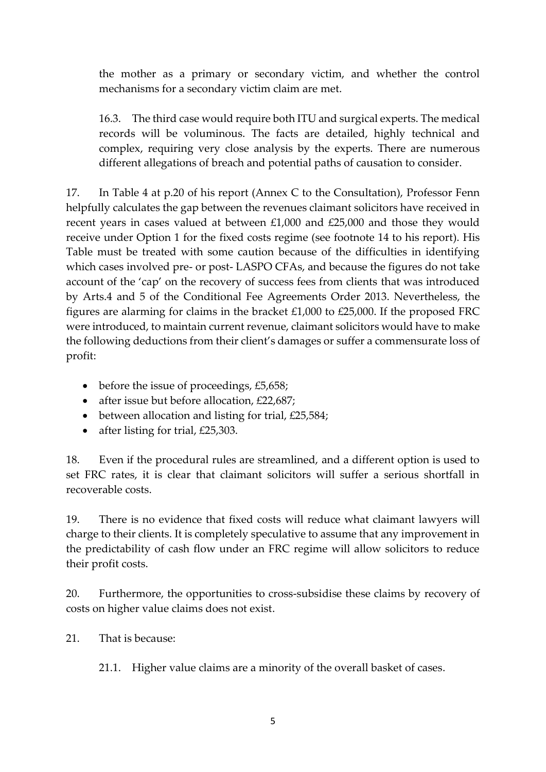the mother as a primary or secondary victim, and whether the control mechanisms for a secondary victim claim are met.

16.3. The third case would require both ITU and surgical experts. The medical records will be voluminous. The facts are detailed, highly technical and complex, requiring very close analysis by the experts. There are numerous different allegations of breach and potential paths of causation to consider.

17. In Table 4 at p.20 of his report (Annex C to the Consultation), Professor Fenn helpfully calculates the gap between the revenues claimant solicitors have received in recent years in cases valued at between £1,000 and £25,000 and those they would receive under Option 1 for the fixed costs regime (see footnote 14 to his report). His Table must be treated with some caution because of the difficulties in identifying which cases involved pre- or post- LASPO CFAs, and because the figures do not take account of the 'cap' on the recovery of success fees from clients that was introduced by Arts.4 and 5 of the Conditional Fee Agreements Order 2013. Nevertheless, the figures are alarming for claims in the bracket £1,000 to £25,000. If the proposed FRC were introduced, to maintain current revenue, claimant solicitors would have to make the following deductions from their client's damages or suffer a commensurate loss of profit:

- $\bullet$  before the issue of proceedings, £5,658;
- after issue but before allocation, £22,687;
- $\bullet$  between allocation and listing for trial, £25,584;
- after listing for trial, £25,303.

18. Even if the procedural rules are streamlined, and a different option is used to set FRC rates, it is clear that claimant solicitors will suffer a serious shortfall in recoverable costs.

19. There is no evidence that fixed costs will reduce what claimant lawyers will charge to their clients. It is completely speculative to assume that any improvement in the predictability of cash flow under an FRC regime will allow solicitors to reduce their profit costs.

20. Furthermore, the opportunities to cross-subsidise these claims by recovery of costs on higher value claims does not exist.

21. That is because:

21.1. Higher value claims are a minority of the overall basket of cases.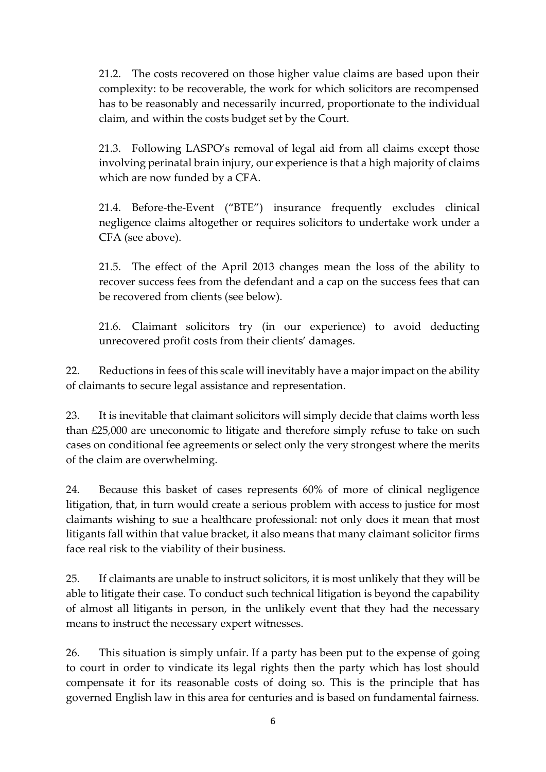21.2. The costs recovered on those higher value claims are based upon their complexity: to be recoverable, the work for which solicitors are recompensed has to be reasonably and necessarily incurred, proportionate to the individual claim, and within the costs budget set by the Court.

21.3. Following LASPO's removal of legal aid from all claims except those involving perinatal brain injury, our experience is that a high majority of claims which are now funded by a CFA.

21.4. Before-the-Event ("BTE") insurance frequently excludes clinical negligence claims altogether or requires solicitors to undertake work under a CFA (see above).

21.5. The effect of the April 2013 changes mean the loss of the ability to recover success fees from the defendant and a cap on the success fees that can be recovered from clients (see below).

21.6. Claimant solicitors try (in our experience) to avoid deducting unrecovered profit costs from their clients' damages.

22. Reductions in fees of this scale will inevitably have a major impact on the ability of claimants to secure legal assistance and representation.

23. It is inevitable that claimant solicitors will simply decide that claims worth less than £25,000 are uneconomic to litigate and therefore simply refuse to take on such cases on conditional fee agreements or select only the very strongest where the merits of the claim are overwhelming.

24. Because this basket of cases represents 60% of more of clinical negligence litigation, that, in turn would create a serious problem with access to justice for most claimants wishing to sue a healthcare professional: not only does it mean that most litigants fall within that value bracket, it also means that many claimant solicitor firms face real risk to the viability of their business.

25. If claimants are unable to instruct solicitors, it is most unlikely that they will be able to litigate their case. To conduct such technical litigation is beyond the capability of almost all litigants in person, in the unlikely event that they had the necessary means to instruct the necessary expert witnesses.

26. This situation is simply unfair. If a party has been put to the expense of going to court in order to vindicate its legal rights then the party which has lost should compensate it for its reasonable costs of doing so. This is the principle that has governed English law in this area for centuries and is based on fundamental fairness.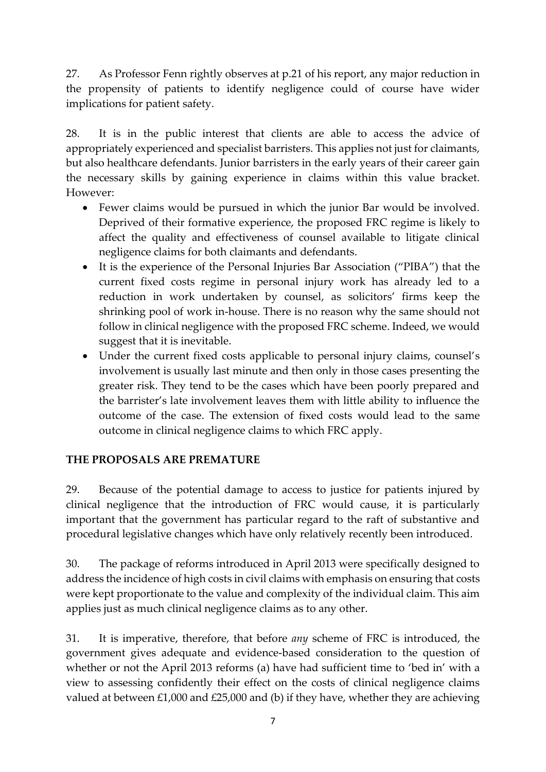27. As Professor Fenn rightly observes at p.21 of his report, any major reduction in the propensity of patients to identify negligence could of course have wider implications for patient safety.

28. It is in the public interest that clients are able to access the advice of appropriately experienced and specialist barristers. This applies not just for claimants, but also healthcare defendants. Junior barristers in the early years of their career gain the necessary skills by gaining experience in claims within this value bracket. However:

- Fewer claims would be pursued in which the junior Bar would be involved. Deprived of their formative experience, the proposed FRC regime is likely to affect the quality and effectiveness of counsel available to litigate clinical negligence claims for both claimants and defendants.
- It is the experience of the Personal Injuries Bar Association ("PIBA") that the current fixed costs regime in personal injury work has already led to a reduction in work undertaken by counsel, as solicitors' firms keep the shrinking pool of work in-house. There is no reason why the same should not follow in clinical negligence with the proposed FRC scheme. Indeed, we would suggest that it is inevitable.
- Under the current fixed costs applicable to personal injury claims, counsel's involvement is usually last minute and then only in those cases presenting the greater risk. They tend to be the cases which have been poorly prepared and the barrister's late involvement leaves them with little ability to influence the outcome of the case. The extension of fixed costs would lead to the same outcome in clinical negligence claims to which FRC apply.

# **THE PROPOSALS ARE PREMATURE**

29. Because of the potential damage to access to justice for patients injured by clinical negligence that the introduction of FRC would cause, it is particularly important that the government has particular regard to the raft of substantive and procedural legislative changes which have only relatively recently been introduced.

30. The package of reforms introduced in April 2013 were specifically designed to address the incidence of high costs in civil claims with emphasis on ensuring that costs were kept proportionate to the value and complexity of the individual claim. This aim applies just as much clinical negligence claims as to any other.

31. It is imperative, therefore, that before *any* scheme of FRC is introduced, the government gives adequate and evidence-based consideration to the question of whether or not the April 2013 reforms (a) have had sufficient time to 'bed in' with a view to assessing confidently their effect on the costs of clinical negligence claims valued at between £1,000 and £25,000 and (b) if they have, whether they are achieving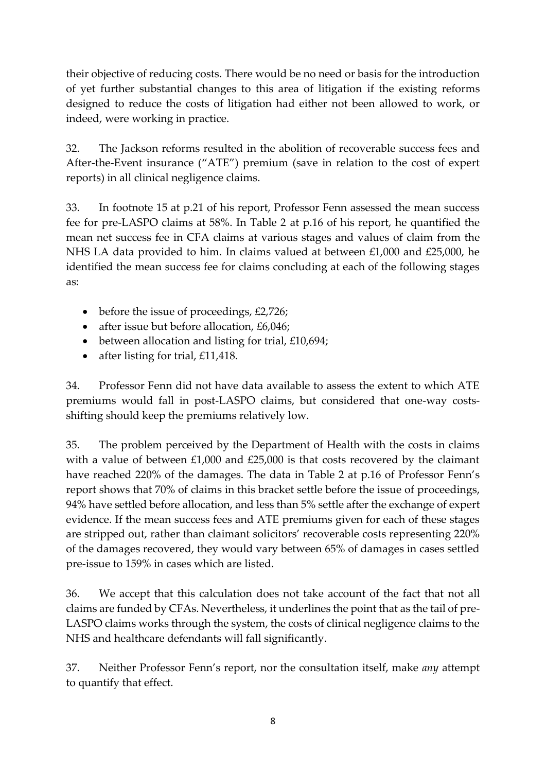their objective of reducing costs. There would be no need or basis for the introduction of yet further substantial changes to this area of litigation if the existing reforms designed to reduce the costs of litigation had either not been allowed to work, or indeed, were working in practice.

32. The Jackson reforms resulted in the abolition of recoverable success fees and After-the-Event insurance ("ATE") premium (save in relation to the cost of expert reports) in all clinical negligence claims.

33. In footnote 15 at p.21 of his report, Professor Fenn assessed the mean success fee for pre-LASPO claims at 58%. In Table 2 at p.16 of his report, he quantified the mean net success fee in CFA claims at various stages and values of claim from the NHS LA data provided to him. In claims valued at between £1,000 and £25,000, he identified the mean success fee for claims concluding at each of the following stages as:

- before the issue of proceedings, £2,726;
- after issue but before allocation, £6,046;
- $\bullet$  between allocation and listing for trial, £10,694;
- after listing for trial,  $£11,418$ .

34. Professor Fenn did not have data available to assess the extent to which ATE premiums would fall in post-LASPO claims, but considered that one-way costsshifting should keep the premiums relatively low.

35. The problem perceived by the Department of Health with the costs in claims with a value of between £1,000 and £25,000 is that costs recovered by the claimant have reached 220% of the damages. The data in Table 2 at p.16 of Professor Fenn's report shows that 70% of claims in this bracket settle before the issue of proceedings, 94% have settled before allocation, and less than 5% settle after the exchange of expert evidence. If the mean success fees and ATE premiums given for each of these stages are stripped out, rather than claimant solicitors' recoverable costs representing 220% of the damages recovered, they would vary between 65% of damages in cases settled pre-issue to 159% in cases which are listed.

36. We accept that this calculation does not take account of the fact that not all claims are funded by CFAs. Nevertheless, it underlines the point that as the tail of pre-LASPO claims works through the system, the costs of clinical negligence claims to the NHS and healthcare defendants will fall significantly.

37. Neither Professor Fenn's report, nor the consultation itself, make *any* attempt to quantify that effect.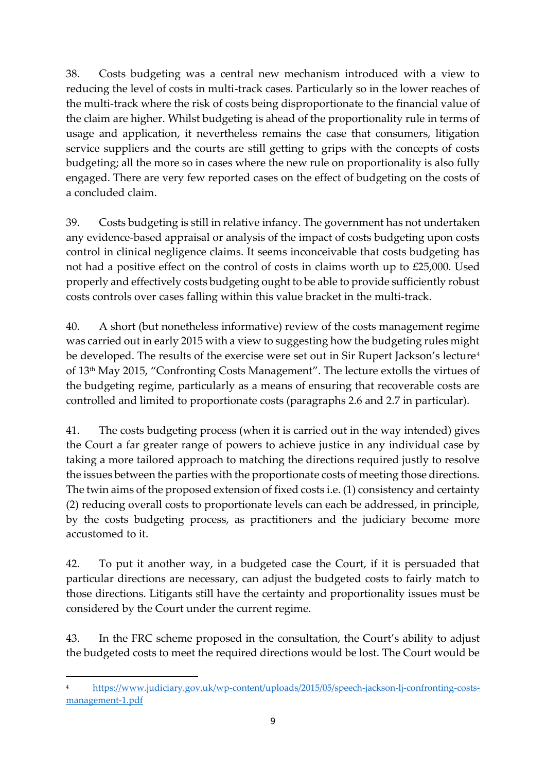38. Costs budgeting was a central new mechanism introduced with a view to reducing the level of costs in multi-track cases. Particularly so in the lower reaches of the multi-track where the risk of costs being disproportionate to the financial value of the claim are higher. Whilst budgeting is ahead of the proportionality rule in terms of usage and application, it nevertheless remains the case that consumers, litigation service suppliers and the courts are still getting to grips with the concepts of costs budgeting; all the more so in cases where the new rule on proportionality is also fully engaged. There are very few reported cases on the effect of budgeting on the costs of a concluded claim.

39. Costs budgeting is still in relative infancy. The government has not undertaken any evidence-based appraisal or analysis of the impact of costs budgeting upon costs control in clinical negligence claims. It seems inconceivable that costs budgeting has not had a positive effect on the control of costs in claims worth up to £25,000. Used properly and effectively costs budgeting ought to be able to provide sufficiently robust costs controls over cases falling within this value bracket in the multi-track.

40. A short (but nonetheless informative) review of the costs management regime was carried out in early 2015 with a view to suggesting how the budgeting rules might be developed. The results of the exercise were set out in Sir Rupert Jackson's lecture<sup>4</sup> of 13th May 2015, "Confronting Costs Management". The lecture extolls the virtues of the budgeting regime, particularly as a means of ensuring that recoverable costs are controlled and limited to proportionate costs (paragraphs 2.6 and 2.7 in particular).

41. The costs budgeting process (when it is carried out in the way intended) gives the Court a far greater range of powers to achieve justice in any individual case by taking a more tailored approach to matching the directions required justly to resolve the issues between the parties with the proportionate costs of meeting those directions. The twin aims of the proposed extension of fixed costs i.e. (1) consistency and certainty (2) reducing overall costs to proportionate levels can each be addressed, in principle, by the costs budgeting process, as practitioners and the judiciary become more accustomed to it.

42. To put it another way, in a budgeted case the Court, if it is persuaded that particular directions are necessary, can adjust the budgeted costs to fairly match to those directions. Litigants still have the certainty and proportionality issues must be considered by the Court under the current regime.

43. In the FRC scheme proposed in the consultation, the Court's ability to adjust the budgeted costs to meet the required directions would be lost. The Court would be

1

<sup>4</sup> [https://www.judiciary.gov.uk/wp-content/uploads/2015/05/speech-jackson-lj-confronting-costs](https://www.judiciary.gov.uk/wp-content/uploads/2015/05/speech-jackson-lj-confronting-costs-management-1.pdf)[management-1.pdf](https://www.judiciary.gov.uk/wp-content/uploads/2015/05/speech-jackson-lj-confronting-costs-management-1.pdf)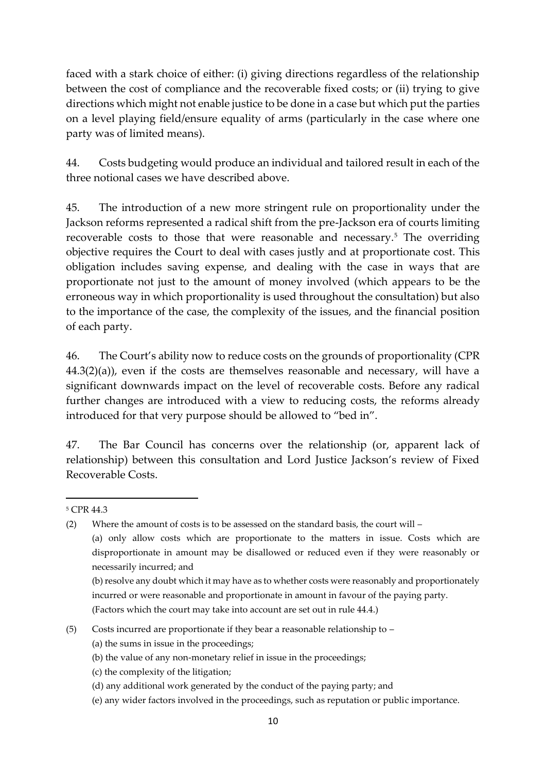faced with a stark choice of either: (i) giving directions regardless of the relationship between the cost of compliance and the recoverable fixed costs; or (ii) trying to give directions which might not enable justice to be done in a case but which put the parties on a level playing field/ensure equality of arms (particularly in the case where one party was of limited means).

44. Costs budgeting would produce an individual and tailored result in each of the three notional cases we have described above.

45. The introduction of a new more stringent rule on proportionality under the Jackson reforms represented a radical shift from the pre-Jackson era of courts limiting recoverable costs to those that were reasonable and necessary.<sup>5</sup> The overriding objective requires the Court to deal with cases justly and at proportionate cost. This obligation includes saving expense, and dealing with the case in ways that are proportionate not just to the amount of money involved (which appears to be the erroneous way in which proportionality is used throughout the consultation) but also to the importance of the case, the complexity of the issues, and the financial position of each party.

46. The Court's ability now to reduce costs on the grounds of proportionality (CPR  $44.3(2)(a)$ , even if the costs are themselves reasonable and necessary, will have a significant downwards impact on the level of recoverable costs. Before any radical further changes are introduced with a view to reducing costs, the reforms already introduced for that very purpose should be allowed to "bed in".

47. The Bar Council has concerns over the relationship (or, apparent lack of relationship) between this consultation and Lord Justice Jackson's review of Fixed Recoverable Costs.

1

- (b) the value of any non-monetary relief in issue in the proceedings;
- (c) the complexity of the litigation;
- (d) any additional work generated by the conduct of the paying party; and
- (e) any wider factors involved in the proceedings, such as reputation or public importance.

<sup>5</sup> CPR 44.3

<sup>(2)</sup> Where the amount of costs is to be assessed on the standard basis, the court will – (a) only allow costs which are proportionate to the matters in issue. Costs which are disproportionate in amount may be disallowed or reduced even if they were reasonably or necessarily incurred; and

<sup>(</sup>b) resolve any doubt which it may have as to whether costs were reasonably and proportionately incurred or were reasonable and proportionate in amount in favour of the paying party. (Factors which the court may take into account are set out in rule 44.4.)

<sup>(5)</sup> Costs incurred are proportionate if they bear a reasonable relationship to –

<sup>(</sup>a) the sums in issue in the proceedings;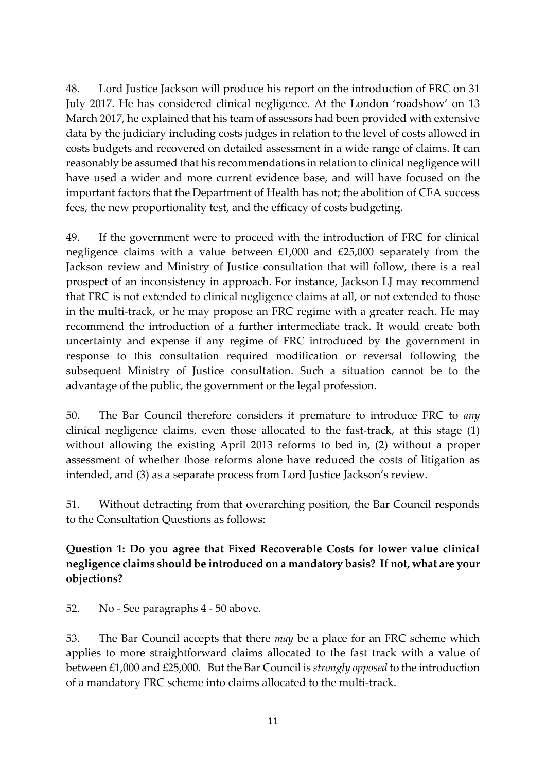48. Lord Justice Jackson will produce his report on the introduction of FRC on 31 July 2017. He has considered clinical negligence. At the London 'roadshow' on 13 March 2017, he explained that his team of assessors had been provided with extensive data by the judiciary including costs judges in relation to the level of costs allowed in costs budgets and recovered on detailed assessment in a wide range of claims. It can reasonably be assumed that his recommendations in relation to clinical negligence will have used a wider and more current evidence base, and will have focused on the important factors that the Department of Health has not; the abolition of CFA success fees, the new proportionality test, and the efficacy of costs budgeting.

49. If the government were to proceed with the introduction of FRC for clinical negligence claims with a value between £1,000 and £25,000 separately from the Jackson review and Ministry of Justice consultation that will follow, there is a real prospect of an inconsistency in approach. For instance, Jackson LJ may recommend that FRC is not extended to clinical negligence claims at all, or not extended to those in the multi-track, or he may propose an FRC regime with a greater reach. He may recommend the introduction of a further intermediate track. It would create both uncertainty and expense if any regime of FRC introduced by the government in response to this consultation required modification or reversal following the subsequent Ministry of Justice consultation. Such a situation cannot be to the advantage of the public, the government or the legal profession.

50. The Bar Council therefore considers it premature to introduce FRC to *any* clinical negligence claims, even those allocated to the fast-track, at this stage (1) without allowing the existing April 2013 reforms to bed in, (2) without a proper assessment of whether those reforms alone have reduced the costs of litigation as intended, and (3) as a separate process from Lord Justice Jackson's review.

51. Without detracting from that overarching position, the Bar Council responds to the Consultation Questions as follows:

**Question 1: Do you agree that Fixed Recoverable Costs for lower value clinical negligence claims should be introduced on a mandatory basis? If not, what are your objections?**

52. No - See paragraphs 4 - 50 above.

53. The Bar Council accepts that there *may* be a place for an FRC scheme which applies to more straightforward claims allocated to the fast track with a value of between £1,000 and £25,000. But the Bar Council is *strongly opposed* to the introduction of a mandatory FRC scheme into claims allocated to the multi-track.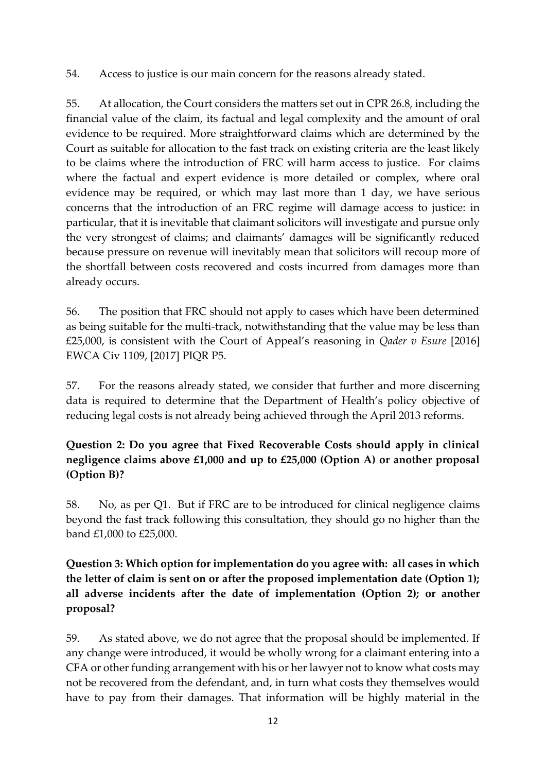54. Access to justice is our main concern for the reasons already stated.

55. At allocation, the Court considers the matters set out in CPR 26.8, including the financial value of the claim, its factual and legal complexity and the amount of oral evidence to be required. More straightforward claims which are determined by the Court as suitable for allocation to the fast track on existing criteria are the least likely to be claims where the introduction of FRC will harm access to justice. For claims where the factual and expert evidence is more detailed or complex, where oral evidence may be required, or which may last more than 1 day, we have serious concerns that the introduction of an FRC regime will damage access to justice: in particular, that it is inevitable that claimant solicitors will investigate and pursue only the very strongest of claims; and claimants' damages will be significantly reduced because pressure on revenue will inevitably mean that solicitors will recoup more of the shortfall between costs recovered and costs incurred from damages more than already occurs.

56. The position that FRC should not apply to cases which have been determined as being suitable for the multi-track, notwithstanding that the value may be less than £25,000, is consistent with the Court of Appeal's reasoning in *Qader v Esure* [2016] EWCA Civ 1109, [2017] PIQR P5.

57. For the reasons already stated, we consider that further and more discerning data is required to determine that the Department of Health's policy objective of reducing legal costs is not already being achieved through the April 2013 reforms.

# **Question 2: Do you agree that Fixed Recoverable Costs should apply in clinical negligence claims above £1,000 and up to £25,000 (Option A) or another proposal (Option B)?**

58. No, as per Q1. But if FRC are to be introduced for clinical negligence claims beyond the fast track following this consultation, they should go no higher than the band £1,000 to £25,000.

# **Question 3: Which option for implementation do you agree with: all cases in which the letter of claim is sent on or after the proposed implementation date (Option 1); all adverse incidents after the date of implementation (Option 2); or another proposal?**

59. As stated above, we do not agree that the proposal should be implemented. If any change were introduced, it would be wholly wrong for a claimant entering into a CFA or other funding arrangement with his or her lawyer not to know what costs may not be recovered from the defendant, and, in turn what costs they themselves would have to pay from their damages. That information will be highly material in the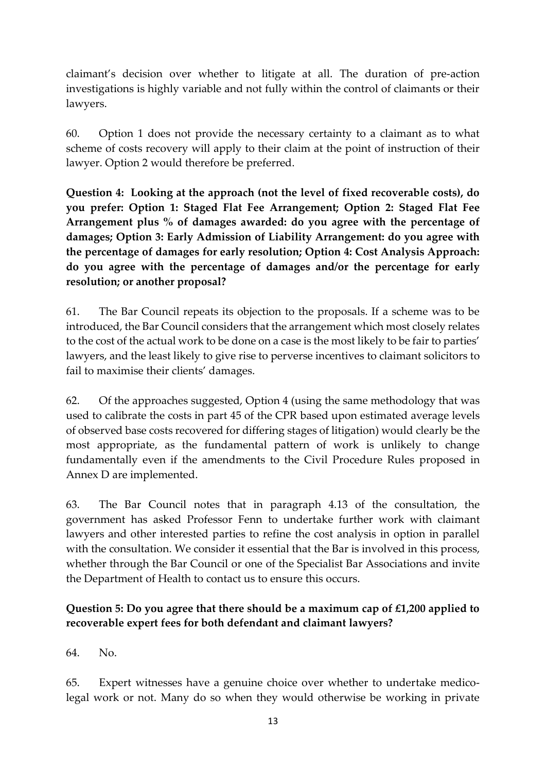claimant's decision over whether to litigate at all. The duration of pre-action investigations is highly variable and not fully within the control of claimants or their lawyers.

60. Option 1 does not provide the necessary certainty to a claimant as to what scheme of costs recovery will apply to their claim at the point of instruction of their lawyer. Option 2 would therefore be preferred.

**Question 4: Looking at the approach (not the level of fixed recoverable costs), do you prefer: Option 1: Staged Flat Fee Arrangement; Option 2: Staged Flat Fee Arrangement plus % of damages awarded: do you agree with the percentage of damages; Option 3: Early Admission of Liability Arrangement: do you agree with the percentage of damages for early resolution; Option 4: Cost Analysis Approach: do you agree with the percentage of damages and/or the percentage for early resolution; or another proposal?**

61. The Bar Council repeats its objection to the proposals. If a scheme was to be introduced, the Bar Council considers that the arrangement which most closely relates to the cost of the actual work to be done on a case is the most likely to be fair to parties' lawyers, and the least likely to give rise to perverse incentives to claimant solicitors to fail to maximise their clients' damages.

62. Of the approaches suggested, Option 4 (using the same methodology that was used to calibrate the costs in part 45 of the CPR based upon estimated average levels of observed base costs recovered for differing stages of litigation) would clearly be the most appropriate, as the fundamental pattern of work is unlikely to change fundamentally even if the amendments to the Civil Procedure Rules proposed in Annex D are implemented.

63. The Bar Council notes that in paragraph 4.13 of the consultation, the government has asked Professor Fenn to undertake further work with claimant lawyers and other interested parties to refine the cost analysis in option in parallel with the consultation. We consider it essential that the Bar is involved in this process, whether through the Bar Council or one of the Specialist Bar Associations and invite the Department of Health to contact us to ensure this occurs.

# **Question 5: Do you agree that there should be a maximum cap of £1,200 applied to recoverable expert fees for both defendant and claimant lawyers?**

64. No.

65. Expert witnesses have a genuine choice over whether to undertake medicolegal work or not. Many do so when they would otherwise be working in private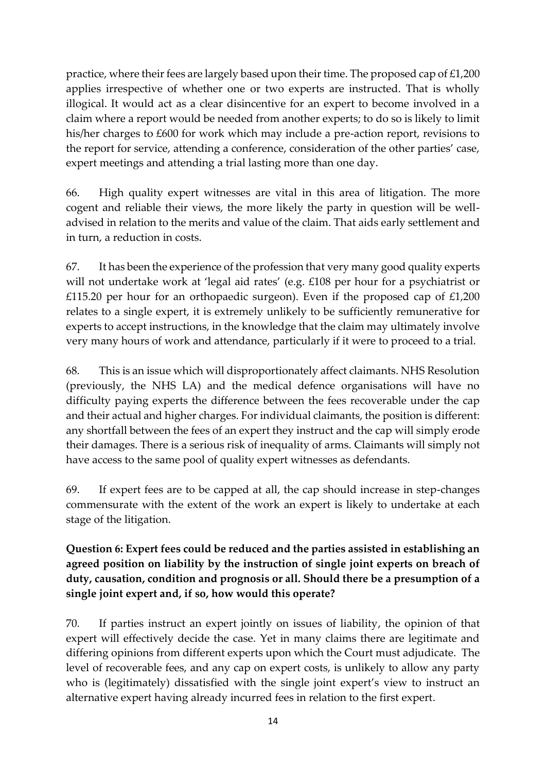practice, where their fees are largely based upon their time. The proposed cap of £1,200 applies irrespective of whether one or two experts are instructed. That is wholly illogical. It would act as a clear disincentive for an expert to become involved in a claim where a report would be needed from another experts; to do so is likely to limit his/her charges to £600 for work which may include a pre-action report, revisions to the report for service, attending a conference, consideration of the other parties' case, expert meetings and attending a trial lasting more than one day.

66. High quality expert witnesses are vital in this area of litigation. The more cogent and reliable their views, the more likely the party in question will be welladvised in relation to the merits and value of the claim. That aids early settlement and in turn, a reduction in costs.

67. It has been the experience of the profession that very many good quality experts will not undertake work at 'legal aid rates' (e.g. £108 per hour for a psychiatrist or £115.20 per hour for an orthopaedic surgeon). Even if the proposed cap of £1,200 relates to a single expert, it is extremely unlikely to be sufficiently remunerative for experts to accept instructions, in the knowledge that the claim may ultimately involve very many hours of work and attendance, particularly if it were to proceed to a trial.

68. This is an issue which will disproportionately affect claimants. NHS Resolution (previously, the NHS LA) and the medical defence organisations will have no difficulty paying experts the difference between the fees recoverable under the cap and their actual and higher charges. For individual claimants, the position is different: any shortfall between the fees of an expert they instruct and the cap will simply erode their damages. There is a serious risk of inequality of arms. Claimants will simply not have access to the same pool of quality expert witnesses as defendants.

69. If expert fees are to be capped at all, the cap should increase in step-changes commensurate with the extent of the work an expert is likely to undertake at each stage of the litigation.

# **Question 6: Expert fees could be reduced and the parties assisted in establishing an agreed position on liability by the instruction of single joint experts on breach of duty, causation, condition and prognosis or all. Should there be a presumption of a single joint expert and, if so, how would this operate?**

70. If parties instruct an expert jointly on issues of liability, the opinion of that expert will effectively decide the case. Yet in many claims there are legitimate and differing opinions from different experts upon which the Court must adjudicate. The level of recoverable fees, and any cap on expert costs, is unlikely to allow any party who is (legitimately) dissatisfied with the single joint expert's view to instruct an alternative expert having already incurred fees in relation to the first expert.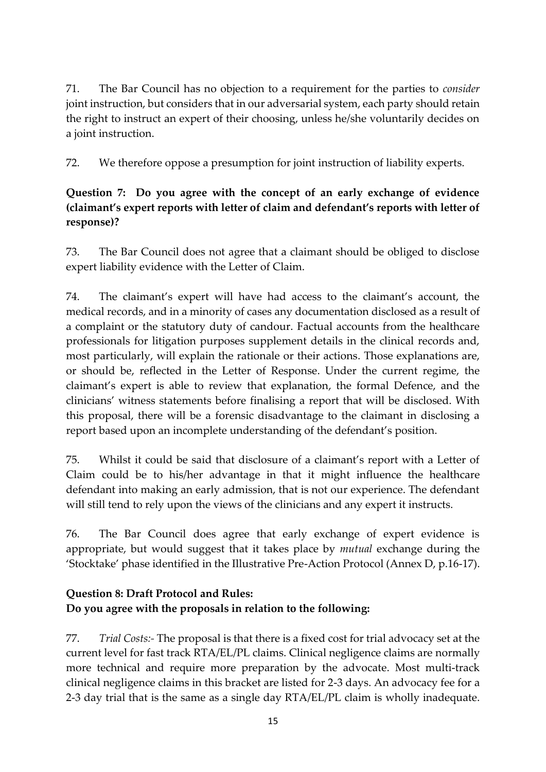71. The Bar Council has no objection to a requirement for the parties to *consider* joint instruction, but considers that in our adversarial system, each party should retain the right to instruct an expert of their choosing, unless he/she voluntarily decides on a joint instruction.

72. We therefore oppose a presumption for joint instruction of liability experts.

# **Question 7: Do you agree with the concept of an early exchange of evidence (claimant's expert reports with letter of claim and defendant's reports with letter of response)?**

73. The Bar Council does not agree that a claimant should be obliged to disclose expert liability evidence with the Letter of Claim.

74. The claimant's expert will have had access to the claimant's account, the medical records, and in a minority of cases any documentation disclosed as a result of a complaint or the statutory duty of candour. Factual accounts from the healthcare professionals for litigation purposes supplement details in the clinical records and, most particularly, will explain the rationale or their actions. Those explanations are, or should be, reflected in the Letter of Response. Under the current regime, the claimant's expert is able to review that explanation, the formal Defence, and the clinicians' witness statements before finalising a report that will be disclosed. With this proposal, there will be a forensic disadvantage to the claimant in disclosing a report based upon an incomplete understanding of the defendant's position.

75. Whilst it could be said that disclosure of a claimant's report with a Letter of Claim could be to his/her advantage in that it might influence the healthcare defendant into making an early admission, that is not our experience. The defendant will still tend to rely upon the views of the clinicians and any expert it instructs.

76. The Bar Council does agree that early exchange of expert evidence is appropriate, but would suggest that it takes place by *mutual* exchange during the 'Stocktake' phase identified in the Illustrative Pre-Action Protocol (Annex D, p.16-17).

# **Question 8: Draft Protocol and Rules: Do you agree with the proposals in relation to the following:**

77. *Trial Costs:-* The proposal is that there is a fixed cost for trial advocacy set at the current level for fast track RTA/EL/PL claims. Clinical negligence claims are normally more technical and require more preparation by the advocate. Most multi-track clinical negligence claims in this bracket are listed for 2-3 days. An advocacy fee for a 2-3 day trial that is the same as a single day RTA/EL/PL claim is wholly inadequate.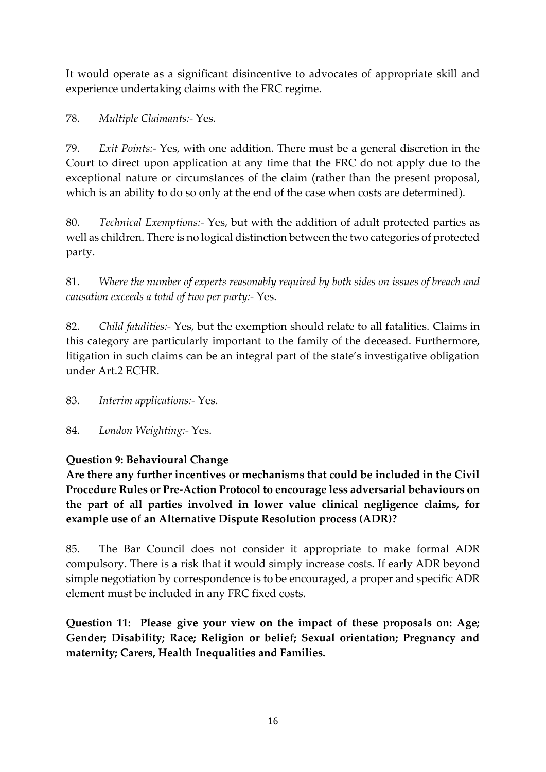It would operate as a significant disincentive to advocates of appropriate skill and experience undertaking claims with the FRC regime.

78. *Multiple Claimants:-* Yes.

79. *Exit Points:*- Yes, with one addition. There must be a general discretion in the Court to direct upon application at any time that the FRC do not apply due to the exceptional nature or circumstances of the claim (rather than the present proposal, which is an ability to do so only at the end of the case when costs are determined).

80. *Technical Exemptions:-* Yes, but with the addition of adult protected parties as well as children. There is no logical distinction between the two categories of protected party.

81. *Where the number of experts reasonably required by both sides on issues of breach and causation exceeds a total of two per party:-* Yes.

82. *Child fatalities:-* Yes, but the exemption should relate to all fatalities. Claims in this category are particularly important to the family of the deceased. Furthermore, litigation in such claims can be an integral part of the state's investigative obligation under Art.2 ECHR.

83. *Interim applications:-* Yes.

84. *London Weighting:-* Yes.

# **Question 9: Behavioural Change**

**Are there any further incentives or mechanisms that could be included in the Civil Procedure Rules or Pre-Action Protocol to encourage less adversarial behaviours on the part of all parties involved in lower value clinical negligence claims, for example use of an Alternative Dispute Resolution process (ADR)?** 

85. The Bar Council does not consider it appropriate to make formal ADR compulsory. There is a risk that it would simply increase costs. If early ADR beyond simple negotiation by correspondence is to be encouraged, a proper and specific ADR element must be included in any FRC fixed costs.

**Question 11: Please give your view on the impact of these proposals on: Age; Gender; Disability; Race; Religion or belief; Sexual orientation; Pregnancy and maternity; Carers, Health Inequalities and Families.**